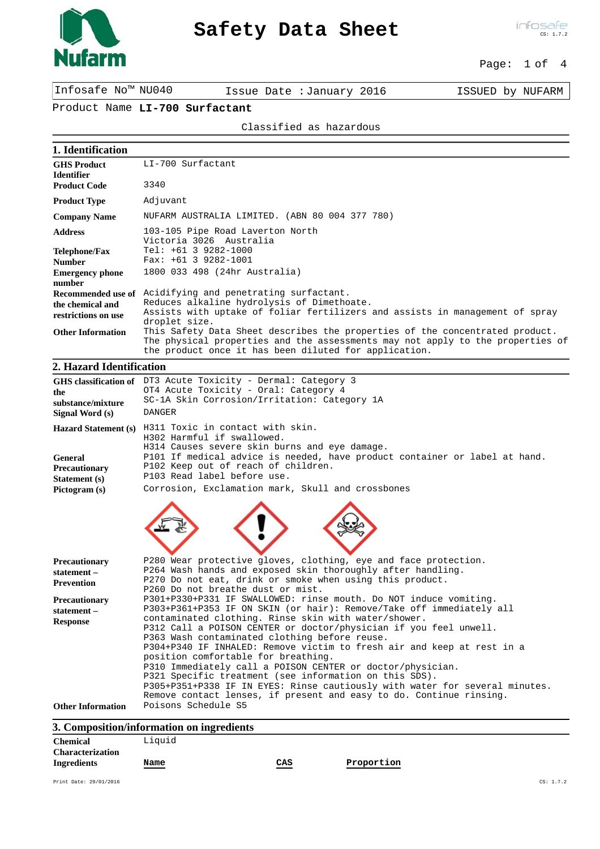

# **Safety Data Sheet**

## Page: 1 of 4

Infosafe No™ NU040 Issue Date :January 2016 ISSUED by NUFARM

## Product Name **LI-700 Surfactant**

### Classified as hazardous

| LI-700 Surfactant                                                                                                                                                                                                       |  |
|-------------------------------------------------------------------------------------------------------------------------------------------------------------------------------------------------------------------------|--|
| 3340                                                                                                                                                                                                                    |  |
| Adjuvant                                                                                                                                                                                                                |  |
| NUFARM AUSTRALIA LIMITED. (ABN 80 004 377 780)                                                                                                                                                                          |  |
| 103-105 Pipe Road Laverton North<br>Victoria 3026 Australia                                                                                                                                                             |  |
| $Tel: +61 3 9282-1000$                                                                                                                                                                                                  |  |
| $Fax: +61 3 9282-1001$                                                                                                                                                                                                  |  |
| 1800 033 498 (24hr Australia)                                                                                                                                                                                           |  |
|                                                                                                                                                                                                                         |  |
| Acidifying and penetrating surfactant.                                                                                                                                                                                  |  |
| Reduces alkaline hydrolysis of Dimethoate.                                                                                                                                                                              |  |
| Assists with uptake of foliar fertilizers and assists in management of spray<br>droplet size.                                                                                                                           |  |
| This Safety Data Sheet describes the properties of the concentrated product.<br>The physical properties and the assessments may not apply to the properties of<br>the product once it has been diluted for application. |  |
|                                                                                                                                                                                                                         |  |

## **2. Hazard Identification**

| the<br>substance/mixture<br>Signal Word (s)                                                               | GHS classification of DT3 Acute Toxicity - Dermal: Category 3<br>OT4 Acute Toxicity - Oral: Category 4<br>SC-1A Skin Corrosion/Irritation: Category 1A<br><b>DANGER</b>                                                                                                                                                                                                                                                                                                                                                                                                                                                                                                                                                                                                                                                                                                            |
|-----------------------------------------------------------------------------------------------------------|------------------------------------------------------------------------------------------------------------------------------------------------------------------------------------------------------------------------------------------------------------------------------------------------------------------------------------------------------------------------------------------------------------------------------------------------------------------------------------------------------------------------------------------------------------------------------------------------------------------------------------------------------------------------------------------------------------------------------------------------------------------------------------------------------------------------------------------------------------------------------------|
| General<br>Precautionary<br>Statement (s)<br>Pictogram (s)                                                | Hazard Statement (s) H311 Toxic in contact with skin.<br>H302 Harmful if swallowed.<br>H314 Causes severe skin burns and eye damage.<br>P101 If medical advice is needed, have product container or label at hand.<br>P102 Keep out of reach of children.<br>P103 Read label before use.<br>Corrosion, Exclamation mark, Skull and crossbones                                                                                                                                                                                                                                                                                                                                                                                                                                                                                                                                      |
| Precautionary<br>statement-<br><b>Prevention</b><br><b>Precautionary</b><br>statement-<br><b>Response</b> | P280 Wear protective gloves, clothing, eye and face protection.<br>P264 Wash hands and exposed skin thoroughly after handling.<br>P270 Do not eat, drink or smoke when using this product.<br>P260 Do not breathe dust or mist.<br>P301+P330+P331 IF SWALLOWED: rinse mouth. Do NOT induce vomiting.<br>P303+P361+P353 IF ON SKIN (or hair): Remove/Take off immediately all<br>contaminated clothing. Rinse skin with water/shower.<br>P312 Call a POISON CENTER or doctor/physician if you feel unwell.<br>P363 Wash contaminated clothing before reuse.<br>P304+P340 IF INHALED: Remove victim to fresh air and keep at rest in a<br>position comfortable for breathing.<br>P310 Immediately call a POISON CENTER or doctor/physician.<br>P321 Specific treatment (see information on this SDS).<br>P305+P351+P338 IF IN EYES: Rinse cautiously with water for several minutes. |
| <b>Other Information</b>                                                                                  | Remove contact lenses, if present and easy to do. Continue rinsing.<br>Poisons Schedule S5                                                                                                                                                                                                                                                                                                                                                                                                                                                                                                                                                                                                                                                                                                                                                                                         |

## **3. Composition/information on ingredients**

| <b>Chemical</b>         | Liquid                                              |     |            |
|-------------------------|-----------------------------------------------------|-----|------------|
| <b>Characterization</b> |                                                     |     |            |
| <b>Ingredients</b>      | Name<br>$\qquad \qquad \overbrace{ \qquad \qquad }$ | CAS | Proportion |
|                         |                                                     |     |            |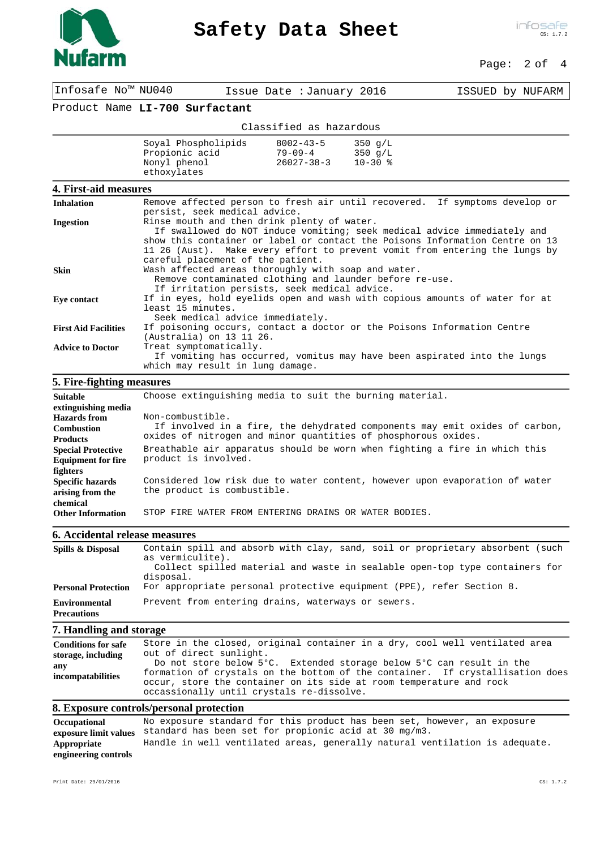

# **Safety Data Sheet**

## Page: 2 of 4

Infosafe No™ NU040 Issue Date :January 2016 ISSUED by NUFARM

# Product Name **LI-700 Surfactant**

|                                                                      | Classified as hazardous                              |                                                 |
|----------------------------------------------------------------------|------------------------------------------------------|-------------------------------------------------|
| Soyal Phospholipids<br>Propionic acid<br>Nonyl phenol<br>ethoxylates | $8002 - 43 - 5$<br>$79 - 09 - 4$<br>$26027 - 38 - 3$ | $350 \, \text{g/L}$<br>350 $q/L$<br>$10 - 30$ % |

#### **4. First-aid measures**

| <b>Inhalation</b>           | Remove affected person to fresh air until recovered. If symptoms develop or<br>persist, seek medical advice.                                             |
|-----------------------------|----------------------------------------------------------------------------------------------------------------------------------------------------------|
| <b>Ingestion</b>            | Rinse mouth and then drink plenty of water.                                                                                                              |
|                             | If swallowed do NOT induce vomiting; seek medical advice immediately and<br>show this container or label or contact the Poisons Information Centre on 13 |
|                             | 11 26 (Aust). Make every effort to prevent vomit from entering the lungs by                                                                              |
|                             | careful placement of the patient.                                                                                                                        |
| <b>Skin</b>                 | Wash affected areas thoroughly with soap and water.                                                                                                      |
|                             | Remove contaminated clothing and launder before re-use.                                                                                                  |
|                             | If irritation persists, seek medical advice.                                                                                                             |
| Eve contact                 | If in eyes, hold eyelids open and wash with copious amounts of water for at                                                                              |
|                             | least 15 minutes.                                                                                                                                        |
|                             | Seek medical advice immediately.                                                                                                                         |
| <b>First Aid Facilities</b> | If poisoning occurs, contact a doctor or the Poisons Information Centre                                                                                  |
|                             | (Australia) on 13 11 26.                                                                                                                                 |
| <b>Advice to Doctor</b>     | Treat symptomatically.                                                                                                                                   |
|                             | If vomiting has occurred, vomitus may have been aspirated into the lungs                                                                                 |
|                             | which may result in lung damage.                                                                                                                         |

# **5. Fire-fighting measures**

| <b>Suitable</b>           | Choose extinguishing media to suit the burning material.                    |
|---------------------------|-----------------------------------------------------------------------------|
| extinguishing media       |                                                                             |
| Hazards from              | Non-combustible.                                                            |
| <b>Combustion</b>         | If involved in a fire, the dehydrated components may emit oxides of carbon, |
| <b>Products</b>           | oxides of nitrogen and minor quantities of phosphorous oxides.              |
| <b>Special Protective</b> | Breathable air apparatus should be worn when fighting a fire in which this  |
| <b>Equipment for fire</b> | product is involved.                                                        |
| fighters                  |                                                                             |
| <b>Specific hazards</b>   | Considered low risk due to water content, however upon evaporation of water |
| arising from the          | the product is combustible.                                                 |
| chemical                  |                                                                             |
| <b>Other Information</b>  | STOP FIRE WATER FROM ENTERING DRAINS OR WATER BODIES.                       |

#### **6. Accidental release measures**

| Spills & Disposal                          | Contain spill and absorb with clay, sand, soil or proprietary absorbent (such<br>as vermiculite).<br>Collect spilled material and waste in sealable open-top type containers for<br>disposal. |
|--------------------------------------------|-----------------------------------------------------------------------------------------------------------------------------------------------------------------------------------------------|
| <b>Personal Protection</b>                 | For appropriate personal protective equipment (PPE), refer Section 8.                                                                                                                         |
| <b>Environmental</b><br><b>Precautions</b> | Prevent from entering drains, waterways or sewers.                                                                                                                                            |

#### **7. Handling and storage**

| any<br>formation of crystals on the bottom of the container. If crystallisation does<br><i>incompatabilities</i><br>occur, store the container on its side at room temperature and rock<br>occassionally until crystals re-dissolve. |
|--------------------------------------------------------------------------------------------------------------------------------------------------------------------------------------------------------------------------------------|
|--------------------------------------------------------------------------------------------------------------------------------------------------------------------------------------------------------------------------------------|

# **8. Exposure controls/personal protection**

| Occupational         | No exposure standard for this product has been set, however, an exposure    |
|----------------------|-----------------------------------------------------------------------------|
|                      | exposure limit values standard has been set for propionic acid at 30 mg/m3. |
| Appropriate          | Handle in well ventilated areas, generally natural ventilation is adequate. |
| engineering controls |                                                                             |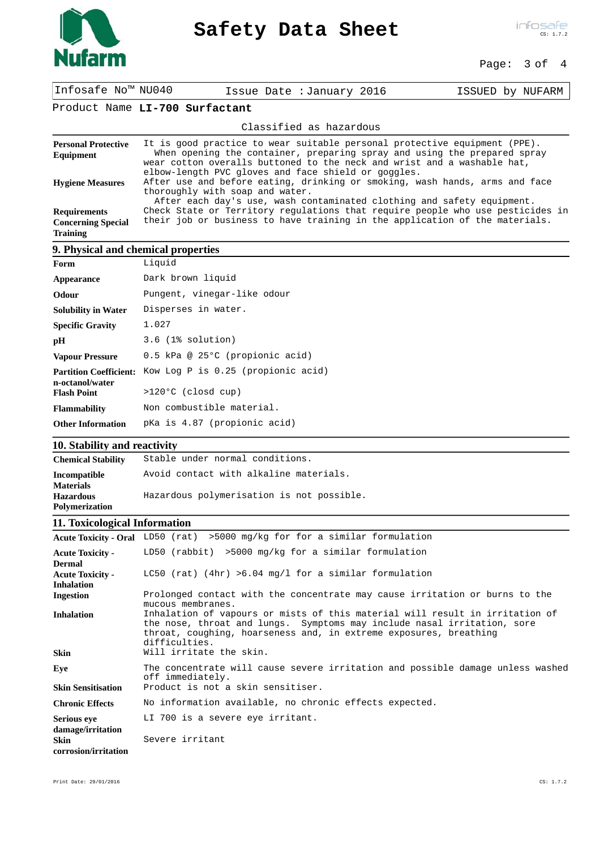

# **Safety Data Sheet**

## Page: 3 of 4

| Infosafe No™ NU040                                                  |                                                                                                                                                                                          | Issue Date : January 2016                                                                                                                                                                                                                                                               | ISSUED by NUFARM |
|---------------------------------------------------------------------|------------------------------------------------------------------------------------------------------------------------------------------------------------------------------------------|-----------------------------------------------------------------------------------------------------------------------------------------------------------------------------------------------------------------------------------------------------------------------------------------|------------------|
|                                                                     | Product Name LI-700 Surfactant                                                                                                                                                           |                                                                                                                                                                                                                                                                                         |                  |
|                                                                     |                                                                                                                                                                                          | Classified as hazardous                                                                                                                                                                                                                                                                 |                  |
| <b>Personal Protective</b><br>Equipment                             |                                                                                                                                                                                          | It is good practice to wear suitable personal protective equipment (PPE).<br>When opening the container, preparing spray and using the prepared spray<br>wear cotton overalls buttoned to the neck and wrist and a washable hat,<br>elbow-length PVC gloves and face shield or goggles. |                  |
| <b>Hygiene Measures</b>                                             | After use and before eating, drinking or smoking, wash hands, arms and face<br>thoroughly with soap and water.<br>After each day's use, wash contaminated clothing and safety equipment. |                                                                                                                                                                                                                                                                                         |                  |
| <b>Requirements</b><br><b>Concerning Special</b><br><b>Training</b> | Check State or Territory regulations that require people who use pesticides in<br>their job or business to have training in the application of the materials.                            |                                                                                                                                                                                                                                                                                         |                  |
|                                                                     | 9. Physical and chemical properties                                                                                                                                                      |                                                                                                                                                                                                                                                                                         |                  |
| Form                                                                | Liquid                                                                                                                                                                                   |                                                                                                                                                                                                                                                                                         |                  |
| Appearance                                                          | Dark brown liquid                                                                                                                                                                        |                                                                                                                                                                                                                                                                                         |                  |
| Odour                                                               | Pungent, vinegar-like odour                                                                                                                                                              |                                                                                                                                                                                                                                                                                         |                  |
| <b>Solubility in Water</b>                                          | Disperses in water.                                                                                                                                                                      |                                                                                                                                                                                                                                                                                         |                  |
| <b>Specific Gravity</b>                                             | 1.027                                                                                                                                                                                    |                                                                                                                                                                                                                                                                                         |                  |
| pH                                                                  | $3.6$ (1% solution)                                                                                                                                                                      |                                                                                                                                                                                                                                                                                         |                  |

| pH                                               | 3.6 (1% SOIUTION)                  |
|--------------------------------------------------|------------------------------------|
| <b>Vapour Pressure</b>                           | 0.5 kPa @ 25°C (propionic acid)    |
| <b>Partition Coefficient:</b><br>n-octanol/water | Kow Log P is 0.25 (propionic acid) |
| <b>Flash Point</b>                               | $>120°C$ (closd cup)               |
| <b>Flammability</b>                              | Non combustible material.          |
| <b>Other Information</b>                         | pKa is 4.87 (propionic acid)       |

# **10. Stability and reactivity**

| <b>Chemical Stability</b>               | Stable under normal conditions.           |
|-----------------------------------------|-------------------------------------------|
| <b>Incompatible</b><br><b>Materials</b> | Avoid contact with alkaline materials.    |
| <b>Hazardous</b><br>Polymerization      | Hazardous polymerisation is not possible. |

## **11. Toxicological Information**

|                                                        | Acute Toxicity - Oral LD50 (rat) >5000 mg/kg for for a similar formulation                                                                                                                                                                    |
|--------------------------------------------------------|-----------------------------------------------------------------------------------------------------------------------------------------------------------------------------------------------------------------------------------------------|
| <b>Acute Toxicity -</b><br><b>Dermal</b>               | LD50 (rabbit) $>5000$ mg/kg for a similar formulation                                                                                                                                                                                         |
| <b>Acute Toxicity -</b>                                | LC50 (rat) (4hr) >6.04 mg/l for a similar formulation                                                                                                                                                                                         |
| <b>Inhalation</b>                                      |                                                                                                                                                                                                                                               |
| Ingestion                                              | Prolonged contact with the concentrate may cause irritation or burns to the<br>mucous membranes.                                                                                                                                              |
| <b>Inhalation</b>                                      | Inhalation of vapours or mists of this material will result in irritation of<br>the nose, throat and lungs. Symptoms may include nasal irritation, sore<br>throat, coughing, hoarseness and, in extreme exposures, breathing<br>difficulties. |
| Skin                                                   | Will irritate the skin.                                                                                                                                                                                                                       |
| Eve                                                    | The concentrate will cause severe irritation and possible damage unless washed<br>off immediately.                                                                                                                                            |
| <b>Skin Sensitisation</b>                              | Product is not a skin sensitiser.                                                                                                                                                                                                             |
| <b>Chronic Effects</b>                                 | No information available, no chronic effects expected.                                                                                                                                                                                        |
| <b>Serious eve</b><br>damage/irritation<br><b>Skin</b> | LI 700 is a severe eye irritant.<br>Severe irritant                                                                                                                                                                                           |
| corrosion/irritation                                   |                                                                                                                                                                                                                                               |